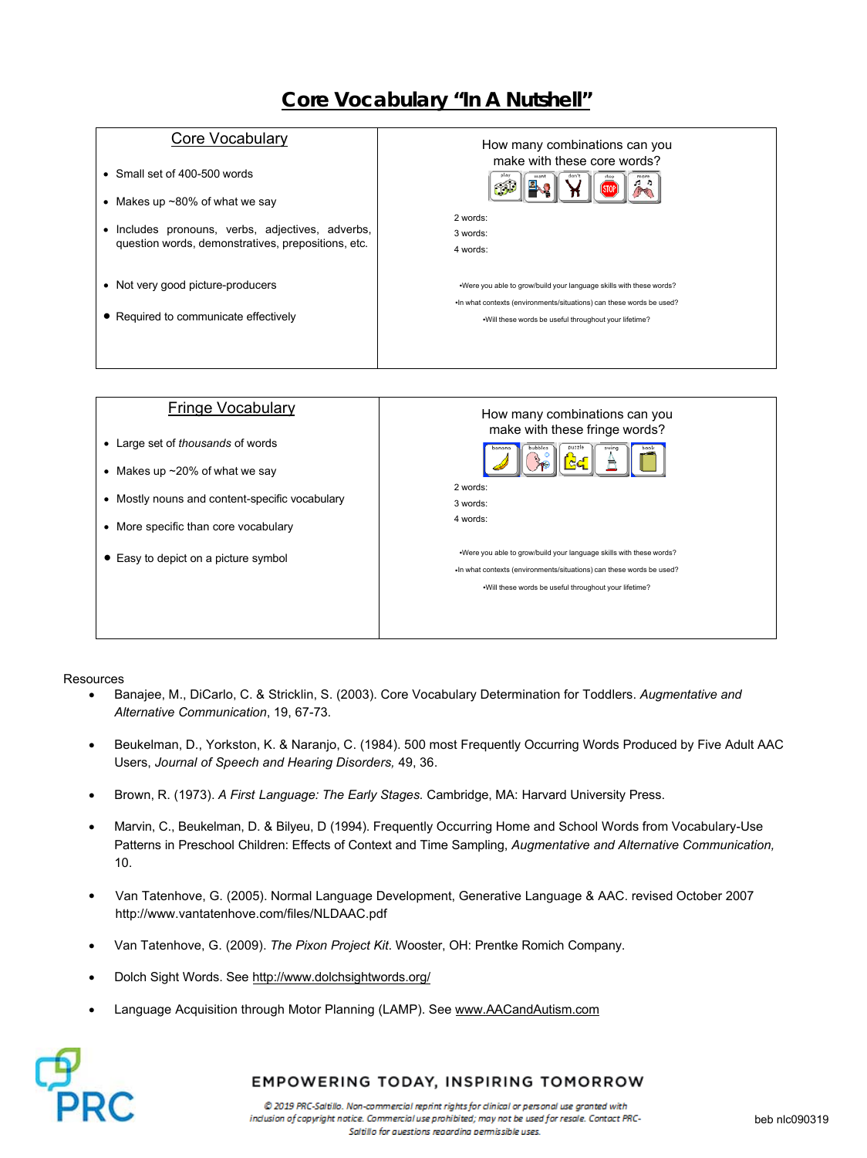# **Core Vocabulary "In A Nutshell"**

#### Core Vocabulary

- Small set of 400-500 words
- Makes up ~80% of what we say
- Includes pronouns, verbs, adjectives, adverbs, question words, demonstratives, prepositions, etc.
- Not very good picture-producers
- Required to communicate effectively

| How many combinations can you<br>make with these core words?<br>stop                                                                                                                                   |
|--------------------------------------------------------------------------------------------------------------------------------------------------------------------------------------------------------|
| 2 words:                                                                                                                                                                                               |
| 3 words:                                                                                                                                                                                               |
| 4 words:                                                                                                                                                                                               |
| . Were you able to grow/build your language skills with these words?<br>. In what contexts (environments/situations) can these words be used?<br>.Will these words be useful throughout your lifetime? |
|                                                                                                                                                                                                        |
|                                                                                                                                                                                                        |



#### **Resources**

- Banajee, M., DiCarlo, C. & Stricklin, S. (2003). Core Vocabulary Determination for Toddlers. *Augmentative and Alternative Communication*, 19, 67-73.
- Beukelman, D., Yorkston, K. & Naranjo, C. (1984). 500 most Frequently Occurring Words Produced by Five Adult AAC Users, *Journal of Speech and Hearing Disorders,* 49, 36.
- Brown, R. (1973). *A First Language: The Early Stages.* Cambridge, MA: Harvard University Press.
- Marvin, C., Beukelman, D. & Bilyeu, D (1994). Frequently Occurring Home and School Words from Vocabulary-Use Patterns in Preschool Children: Effects of Context and Time Sampling, *Augmentative and Alternative Communication,*  10.
- Van Tatenhove, G. (2005). Normal Language Development, Generative Language & AAC. revised October 2007 http://www.vantatenhove.com/files/NLDAAC.pdf
- Van Tatenhove, G. (2009). *The Pixon Project Kit*. Wooster, OH: Prentke Romich Company.
- Dolch Sight Words. See http://www.dolchsightwords.org/
- Language Acquisition through Motor Planning (LAMP). See www.AACandAutism.com



### EMPOWERING TODAY, INSPIRING TOMORROW